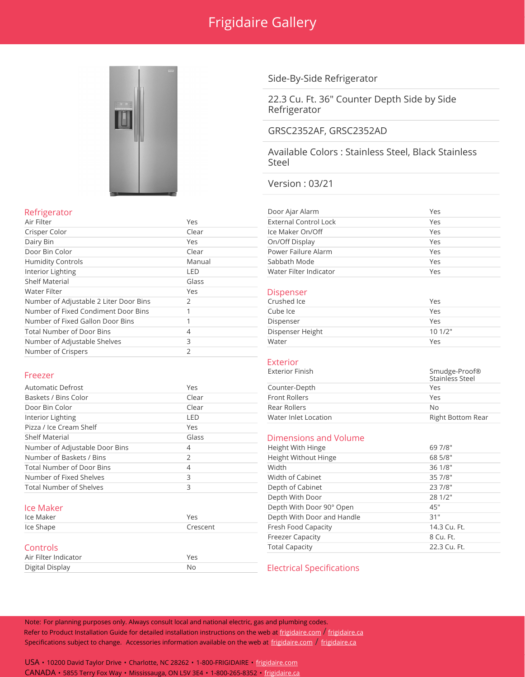

Door Bin Color **Clear** Humidity Controls Manual Manual Interior Lighting LED LED Shelf Material Glass

Number of Fixed Condiment Door Bins 1 Number of Fixed Gallon Door Bins 1 Total Number of Door Bins 4 Number of Adjustable Shelves 3 Number of Crispers 2

Number of Adjustable 2 Liter Door Bins

## Side-By-Side Refrigerator

22.3 Cu. Ft. 36" Counter Depth Side by Side Refrigerator

## GRSC2352AF, GRSC2352AD

Available Colors : Stainless Steel, Black Stainless Steel

## Version : 03/21

| Refrigerator             |        | Door Ajar Alarm              | Yes |
|--------------------------|--------|------------------------------|-----|
| Air Filter               | Yes    | <b>External Control Lock</b> | Yes |
| Crisper Color            | Clear  | Ice Maker On/Off             | Yes |
| Dairy Bin                | Yes    | On/Off Display               | Yes |
| Door Bin Color           | Clear  | Power Failure Alarm          | Yes |
| <b>Humidity Controls</b> | Manual | Sabbath Mode                 | Yes |
| Interior Lighting        | LED    | Water Filter Indicator       | Yes |
|                          |        |                              |     |

# Ves Dispenser<br>
Number of Adjustable 2 Liter Door Bins 2<br>
2<br>
Crushed Ice

| Crushed Ice      | Yes    |
|------------------|--------|
| Cube Ice         | Yes    |
| Dispenser        | Yes    |
| Dispenser Height | 101/2" |
| Water            | Yes    |

|                                  |       |                       | uunnuuu uuun             |
|----------------------------------|-------|-----------------------|--------------------------|
| Automatic Defrost                | Yes   | Counter-Depth         | <b>Yes</b>               |
| Baskets / Bins Color             | Clear | <b>Front Rollers</b>  | Yes                      |
| Door Bin Color                   | Clear | Rear Rollers          | No.                      |
| Interior Lighting                | LED   | Water Inlet Location  | <b>Right Bottom Rear</b> |
| Pizza / Ice Cream Shelf          | Yes   |                       |                          |
| <b>Shelf Material</b>            | Glass | Dimensions and Volume |                          |
| Number of Adjustable Door Bins   | 4     | Height With Hinge     | 69 7/8"                  |
| Number of Baskets / Bins         |       | Height Without Hinge  | 68 5/8"                  |
| <b>Total Number of Door Bins</b> | 4     | Width                 | 36 1/8"                  |
| Number of Fixed Shelves          | 3     | Width of Cabinet      | 35 7/8"                  |
| <b>Total Number of Shelves</b>   | 3     | Depth of Cabinet      | 23 7/8"                  |
|                                  |       | Denth With Door       | 781/7"                   |

| Ice Maker            | Yes      | Depth With Door and Handle       | 31"          |
|----------------------|----------|----------------------------------|--------------|
| Ice Shape            | Crescent | Fresh Food Capacity              | 14.3 Cu. Ft. |
|                      |          | <b>Freezer Capacity</b>          | 8 Cu. Ft.    |
| <b>Controls</b>      |          | <b>Total Capacity</b>            | 22.3 Cu. Ft. |
| Air Filter Indicator | Yes      |                                  |              |
| Digital Display      | Nс       | <b>Electrical Specifications</b> |              |

## **Exterior**<br>Exterior Finish

| Freezer              |       | Exterior Finish      | Smudge-Proof®<br>Stainless Steel |
|----------------------|-------|----------------------|----------------------------------|
| Automatic Defrost    | Yes   | Counter-Depth        | Yes                              |
| Baskets / Bins Color | Clear | <b>Front Rollers</b> | Yes                              |
| Door Bin Color       | Clear | Rear Rollers         | No.                              |
| Interior Lighting    | _ED   | Water Inlet Location | Right Bottom Rear                |
|                      |       |                      |                                  |

## Dimensions and Volume

| Number of Adjustable Door Bins   | 4        | Height With Hinge          | 69 7/8"      |
|----------------------------------|----------|----------------------------|--------------|
| Number of Baskets / Bins         |          | Height Without Hinge       | 68 5/8"      |
| <b>Total Number of Door Bins</b> | 4        | Width                      | 36 1/8"      |
| Number of Fixed Shelves          |          | Width of Cabinet           | 35 7/8"      |
| <b>Total Number of Shelves</b>   |          | Depth of Cabinet           | 23 7/8"      |
|                                  |          | Depth With Door            | 28 1/2"      |
| lce Maker                        |          | Depth With Door 90° Open   | 45"          |
| Ice Maker                        | Yes      | Depth With Door and Handle | 31"          |
| Ice Shape                        | Crescent | Fresh Food Capacity        | 14.3 Cu. Ft. |
|                                  |          | <b>Freezer Capacity</b>    | 8 Cu. Ft.    |
| Controls                         |          | <b>Total Capacity</b>      | 22.3 Cu. Ft. |
|                                  |          |                            |              |

### **Electrical Specifications**

Note: For planning purposes only. Always consult local and national electric, gas and plumbing codes. Refer to Product Installation Guide for detailed installation instructions on the web at [frigidaire.com](http://frigidaire.com/) / [frigidaire.ca](http://frigidaire.ca/) Specifications subject to change. Accessories information available on the web at [frigidaire.com](http://frigidaire.com/) / [frigidaire.ca](http://frigidaire.ca/)

USA • 10200 David Taylor Drive • Charlotte, NC 28262 • 1-800-FRIGIDAIRE • [frigidaire.com](http://frigidaire.com/) CANADA • 5855 Terry Fox Way • Mississauga, ON L5V 3E4 • 1-800-265-8352 • [frigidaire.ca](http://frigidaire.ca/)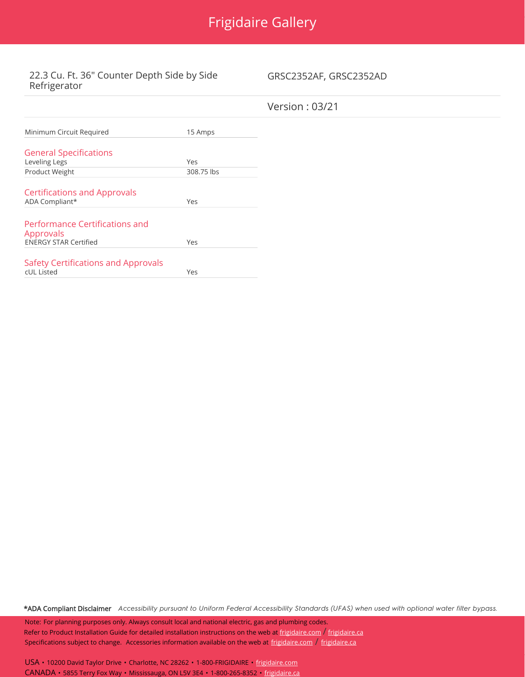# Frigidaire Gallery

## 22.3 Cu. Ft. 36" Counter Depth Side by Side Refrigerator

GRSC2352AF, GRSC2352AD

| Minimum Circuit Required                          | 15 Amps    |
|---------------------------------------------------|------------|
| <b>General Specifications</b>                     |            |
| Leveling Legs                                     | Yes        |
| Product Weight                                    | 308.75 lbs |
|                                                   |            |
| <b>Certifications and Approvals</b>               |            |
| ADA Compliant*                                    | Yes        |
|                                                   |            |
| <b>Performance Certifications and</b>             |            |
| Approvals                                         |            |
| <b>ENERGY STAR Certified</b>                      | Yes        |
|                                                   |            |
| Safety Certifications and Approvals<br>cUL Listed | Yes        |
|                                                   |            |

\*ADA Compliant Disclaimer Accessibility pursuant to Uniform Federal Accessibility Standards (UFAS) when used with optional water filter bypass.

Note: For planning purposes only. Always consult local and national electric, gas and plumbing codes. Refer to Product Installation Guide for detailed installation instructions on the web at [frigidaire.com](http://frigidaire.com/) / [frigidaire.ca](http://frigidaire.ca/) Specifications subject to change. Accessories information available on the web at [frigidaire.com](http://frigidaire.com/) / [frigidaire.ca](http://frigidaire.ca/)